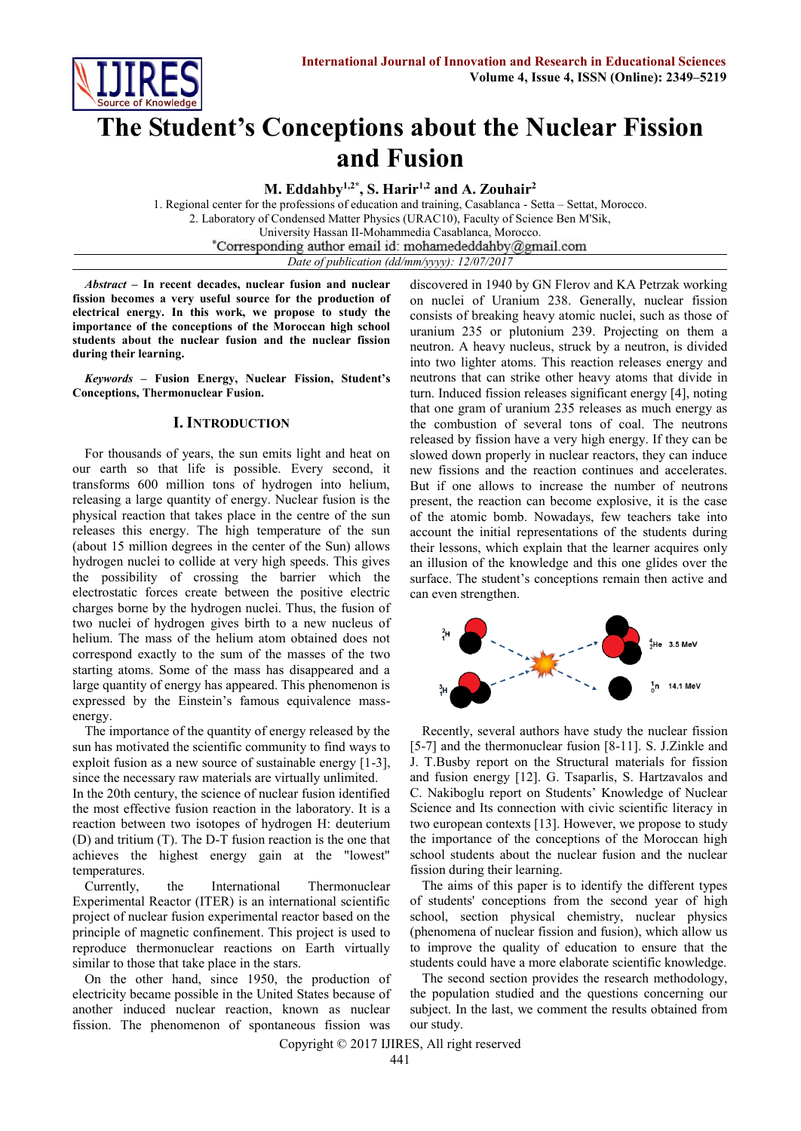

# **The Student's Conceptions about the Nuclear Fission and Fusion**

**M. Eddahby1,2\* , S. Harir1,2 and A. Zouhair<sup>2</sup>**

1. Regional center for the professions of education and training, Casablanca - Setta – Settat, Morocco. 2. Laboratory of Condensed Matter Physics (URAC10), Faculty of Science Ben M'Sik, University Hassan II-Mohammedia Casablanca, Morocco.<br>Corresponding author email id: mohamededdahby@gmail.com *Date of publication (dd/mm/yyyy): 12/07/2017*

*Abstract* **– In recent decades, nuclear fusion and nuclear fission becomes a very useful source for the production of electrical energy. In this work, we propose to study the importance of the conceptions of the Moroccan high school students about the nuclear fusion and the nuclear fission during their learning.**

*Keywords* **– Fusion Energy, Nuclear Fission, Student's Conceptions, Thermonuclear Fusion.**

## **I. INTRODUCTION**

For thousands of years, the sun emits light and heat on our earth so that life is possible. Every second, it transforms 600 million tons of hydrogen into helium, releasing a large quantity of energy. Nuclear fusion is the physical reaction that takes place in the centre of the sun releases this energy. The high temperature of the sun (about 15 million degrees in the center of the Sun) allows hydrogen nuclei to collide at very high speeds. This gives the possibility of crossing the barrier which the electrostatic forces create between the positive electric charges borne by the hydrogen nuclei. Thus, the fusion of two nuclei of hydrogen gives birth to a new nucleus of helium. The mass of the helium atom obtained does not correspond exactly to the sum of the masses of the two starting atoms. Some of the mass has disappeared and a large quantity of energy has appeared. This phenomenon is expressed by the Einstein's famous equivalence massenergy.

The importance of the quantity of energy released by the sun has motivated the scientific community to find ways to exploit fusion as a new source of sustainable energy [1-3], since the necessary raw materials are virtually unlimited.

In the 20th century, the science of nuclear fusion identified the most effective fusion reaction in the laboratory. It is a reaction between two isotopes of hydrogen H: deuterium (D) and tritium (T). The D-T fusion reaction is the one that achieves the highest energy gain at the "lowest" temperatures.

Currently, the International Thermonuclear Experimental Reactor (ITER) is an international scientific project of nuclear fusion experimental reactor based on the principle of magnetic confinement. This project is used to reproduce thermonuclear reactions on Earth virtually similar to those that take place in the stars.

On the other hand, since 1950, the production of electricity became possible in the United States because of another induced nuclear reaction, known as nuclear fission. The phenomenon of spontaneous fission was discovered in 1940 by GN Flerov and KA Petrzak working on nuclei of Uranium 238. Generally, nuclear fission consists of breaking heavy atomic nuclei, such as those of uranium 235 or plutonium 239. Projecting on them a neutron. A heavy nucleus, struck by a neutron, is divided into two lighter atoms. This reaction releases energy and neutrons that can strike other heavy atoms that divide in turn. Induced fission releases significant energy [4], noting that one gram of uranium 235 releases as much energy as the combustion of several tons of coal. The neutrons released by fission have a very high energy. If they can be slowed down properly in nuclear reactors, they can induce new fissions and the reaction continues and accelerates. But if one allows to increase the number of neutrons present, the reaction can become explosive, it is the case of the atomic bomb. Nowadays, few teachers take into account the initial representations of the students during their lessons, which explain that the learner acquires only an illusion of the knowledge and this one glides over the surface. The student's conceptions remain then active and can even strengthen.



Recently, several authors have study the nuclear fission [5-7] and the thermonuclear fusion [8-11]. S. J.Zinkle and J. T.Busby report on the Structural materials for fission and fusion energy [12]. G. Tsaparlis, S. Hartzavalos and C. Nakiboglu report on Students' Knowledge of Nuclear Science and Its connection with civic scientific literacy in two european contexts [13]. However, we propose to study the importance of the conceptions of the Moroccan high school students about the nuclear fusion and the nuclear fission during their learning.

The aims of this paper is to identify the different types of students' conceptions from the second year of high school, section physical chemistry, nuclear physics (phenomena of nuclear fission and fusion), which allow us to improve the quality of education to ensure that the students could have a more elaborate scientific knowledge.

The second section provides the research methodology, the population studied and the questions concerning our subject. In the last, we comment the results obtained from our study.

Copyright © 2017 IJIRES, All right reserved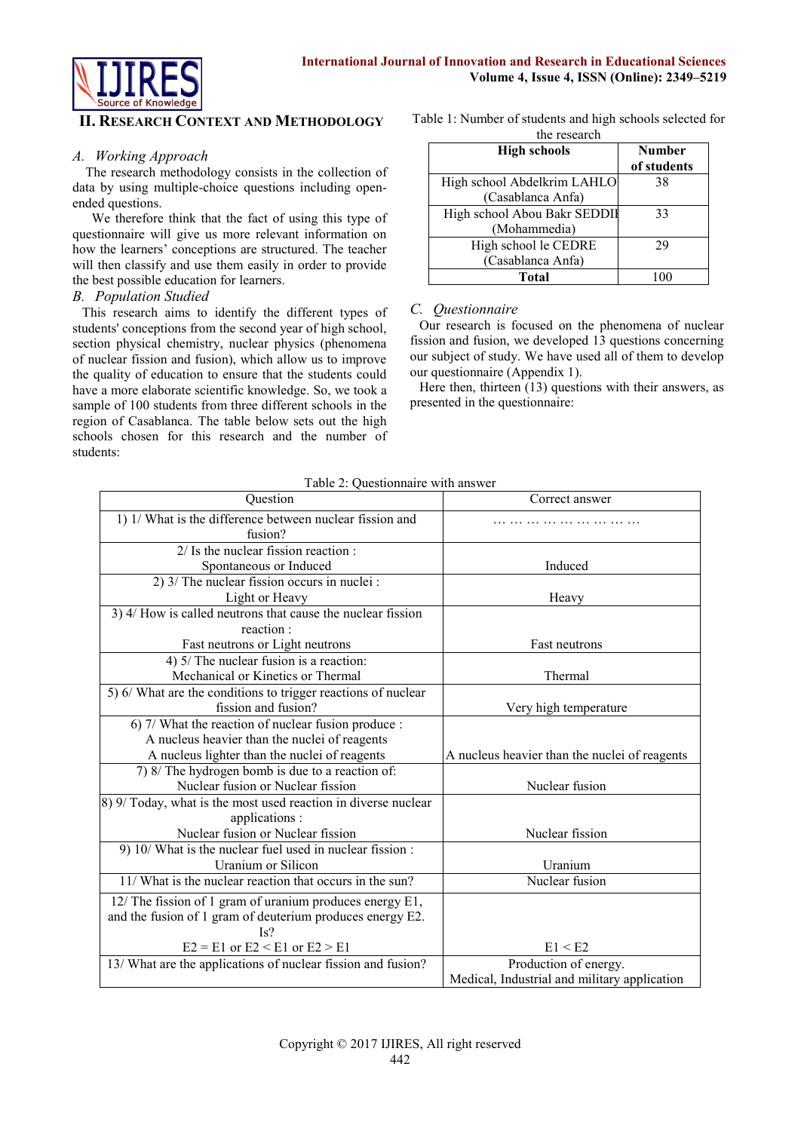

# **II. RESEARCH CONTEXT AND METHODOLOGY**

#### *A. Working Approach*

The research methodology consists in the collection of data by using multiple-choice questions including openended questions.

We therefore think that the fact of using this type of questionnaire will give us more relevant information on how the learners' conceptions are structured. The teacher will then classify and use them easily in order to provide the best possible education for learners.

# *B. Population Studied*

This research aims to identify the different types of students' conceptions from the second year of high school, section physical chemistry, nuclear physics (phenomena of nuclear fission and fusion), which allow us to improve the quality of education to ensure that the students could have a more elaborate scientific knowledge. So, we took a sample of 100 students from three different schools in the region of Casablanca. The table below sets out the high schools chosen for this research and the number of students:

Table 1: Number of students and high schools selected for the research

| <b>High schools</b>          | <b>Number</b> |
|------------------------------|---------------|
|                              | of students   |
| High school Abdelkrim LAHLO  | 38            |
| (Casablanca Anfa)            |               |
| High school Abou Bakr SEDDII | 33            |
| (Mohammedia)                 |               |
| High school le CEDRE         | 29            |
| (Casablanca Anfa)            |               |
| Total                        |               |

# *C. Questionnaire*

Our research is focused on the phenomena of nuclear fission and fusion, we developed 13 questions concerning our subject of study. We have used all of them to develop our questionnaire (Appendix 1).

Here then, thirteen (13) questions with their answers, as presented in the questionnaire:

| Question                                                                    | Correct answer                                |
|-----------------------------------------------------------------------------|-----------------------------------------------|
| 1) 1/ What is the difference between nuclear fission and<br>fusion?         |                                               |
| $2/$ Is the nuclear fission reaction :                                      |                                               |
| Spontaneous or Induced                                                      | Induced                                       |
| 2) 3/ The nuclear fission occurs in nuclei :                                |                                               |
| Light or Heavy                                                              | Heavy                                         |
| 3) 4/ How is called neutrons that cause the nuclear fission                 |                                               |
| reaction:                                                                   |                                               |
| Fast neutrons or Light neutrons                                             | Fast neutrons                                 |
| 4) 5/ The nuclear fusion is a reaction:                                     |                                               |
| Mechanical or Kinetics or Thermal                                           | Thermal                                       |
| $\overline{5}$ ) 6/ What are the conditions to trigger reactions of nuclear |                                               |
| fission and fusion?                                                         | Very high temperature                         |
| 6) 7/ What the reaction of nuclear fusion produce :                         |                                               |
| A nucleus heavier than the nuclei of reagents                               |                                               |
| A nucleus lighter than the nuclei of reagents                               | A nucleus heavier than the nuclei of reagents |
| 7) 8/ The hydrogen bomb is due to a reaction of:                            |                                               |
| Nuclear fusion or Nuclear fission                                           | Nuclear fusion                                |
| 8) 9/ Today, what is the most used reaction in diverse nuclear              |                                               |
| applications :                                                              |                                               |
| Nuclear fusion or Nuclear fission                                           | Nuclear fission                               |
| 9) 10/ What is the nuclear fuel used in nuclear fission :                   |                                               |
| Uranium or Silicon                                                          | Uranium                                       |
| 11/ What is the nuclear reaction that occurs in the sun?                    | Nuclear fusion                                |
| 12/ The fission of 1 gram of uranium produces energy E1,                    |                                               |
| and the fusion of 1 gram of deuterium produces energy E2.                   |                                               |
| Is?                                                                         |                                               |
| $E2 = E1$ or $E2 < E1$ or $E2 > E1$                                         | E1 < E2                                       |
| 13/ What are the applications of nuclear fission and fusion?                | Production of energy.                         |
|                                                                             | Medical, Industrial and military application  |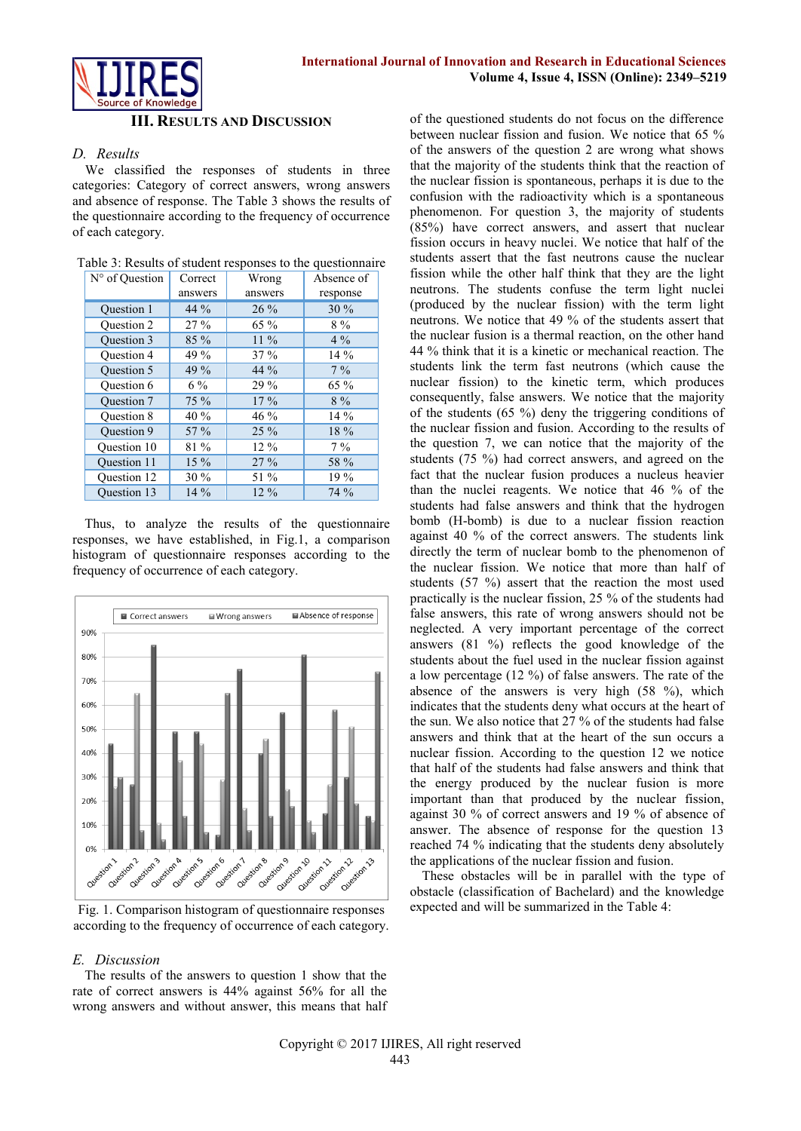

#### **III. RESULTS AND DISCUSSION**

#### *D. Results*

We classified the responses of students in three categories: Category of correct answers, wrong answers and absence of response. The Table 3 shows the results of the questionnaire according to the frequency of occurrence of each category.

| N° of Ouestion     | Correct | Wrong   | Absence of |
|--------------------|---------|---------|------------|
|                    | answers | answers | response   |
| <b>Ouestion 1</b>  | 44 %    | $26\%$  | 30%        |
| <b>Ouestion 2</b>  | 27%     | 65 %    | $8\%$      |
| <b>Ouestion 3</b>  | 85 %    | $11\%$  | $4\%$      |
| <b>Ouestion 4</b>  | 49 %    | $37\%$  | $14\%$     |
| <b>Ouestion 5</b>  | 49 %    | 44 %    | $7\%$      |
| <b>Ouestion 6</b>  | $6\%$   | 29 %    | 65 %       |
| <b>Ouestion 7</b>  | $75\%$  | $17\%$  | $8\%$      |
| <b>Ouestion 8</b>  | 40 %    | 46 %    | $14\%$     |
| <b>Ouestion 9</b>  | $57\%$  | $25\%$  | 18 %       |
| <b>Ouestion 10</b> | 81 %    | $12\%$  | $7\%$      |
| <b>Ouestion 11</b> | $15\%$  | 27%     | 58 %       |
| <b>Ouestion 12</b> | 30 %    | 51 %    | 19 %       |
| <b>Ouestion 13</b> | $14\%$  | $12\%$  | 74 %       |

Thus, to analyze the results of the questionnaire responses, we have established, in Fig.1, a comparison histogram of questionnaire responses according to the frequency of occurrence of each category.



Fig. 1. Comparison histogram of questionnaire responses according to the frequency of occurrence of each category.

#### *E. Discussion*

The results of the answers to question 1 show that the rate of correct answers is 44% against 56% for all the wrong answers and without answer, this means that half

of the questioned students do not focus on the difference between nuclear fission and fusion. We notice that 65 % of the answers of the question 2 are wrong what shows that the majority of the students think that the reaction of the nuclear fission is spontaneous, perhaps it is due to the confusion with the radioactivity which is a spontaneous phenomenon. For question 3, the majority of students (85%) have correct answers, and assert that nuclear fission occurs in heavy nuclei. We notice that half of the students assert that the fast neutrons cause the nuclear fission while the other half think that they are the light neutrons. The students confuse the term light nuclei (produced by the nuclear fission) with the term light neutrons. We notice that 49 % of the students assert that the nuclear fusion is a thermal reaction, on the other hand 44 % think that it is a kinetic or mechanical reaction. The students link the term fast neutrons (which cause the nuclear fission) to the kinetic term, which produces consequently, false answers. We notice that the majority of the students (65 %) deny the triggering conditions of the nuclear fission and fusion. According to the results of the question 7, we can notice that the majority of the students (75 %) had correct answers, and agreed on the fact that the nuclear fusion produces a nucleus heavier than the nuclei reagents. We notice that 46 % of the students had false answers and think that the hydrogen bomb (H-bomb) is due to a nuclear fission reaction against 40 % of the correct answers. The students link directly the term of nuclear bomb to the phenomenon of the nuclear fission. We notice that more than half of students (57 %) assert that the reaction the most used practically is the nuclear fission, 25 % of the students had false answers, this rate of wrong answers should not be neglected. A very important percentage of the correct answers (81 %) reflects the good knowledge of the students about the fuel used in the nuclear fission against a low percentage (12 %) of false answers. The rate of the absence of the answers is very high (58 %), which indicates that the students deny what occurs at the heart of the sun. We also notice that 27 % of the students had false answers and think that at the heart of the sun occurs a nuclear fission. According to the question 12 we notice that half of the students had false answers and think that the energy produced by the nuclear fusion is more important than that produced by the nuclear fission, against 30 % of correct answers and 19 % of absence of answer. The absence of response for the question 13 reached 74 % indicating that the students deny absolutely the applications of the nuclear fission and fusion.

These obstacles will be in parallel with the type of obstacle (classification of Bachelard) and the knowledge expected and will be summarized in the Table 4: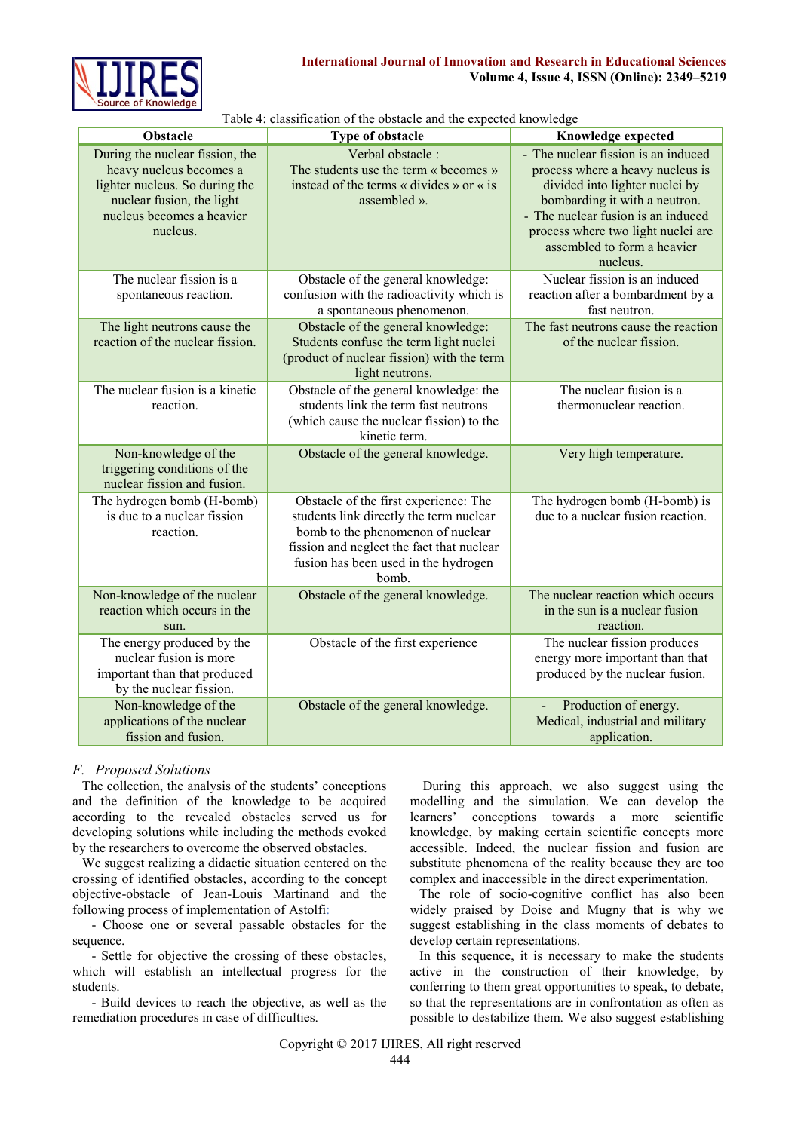

|                                                                                                                                                                    | Twore +. Chassineation of the obstacle and the expected knowledge                                                                                                                                                   |                                                                                                                                                                                                                                                                   |
|--------------------------------------------------------------------------------------------------------------------------------------------------------------------|---------------------------------------------------------------------------------------------------------------------------------------------------------------------------------------------------------------------|-------------------------------------------------------------------------------------------------------------------------------------------------------------------------------------------------------------------------------------------------------------------|
| Obstacle                                                                                                                                                           | Type of obstacle                                                                                                                                                                                                    | Knowledge expected                                                                                                                                                                                                                                                |
| During the nuclear fission, the<br>heavy nucleus becomes a<br>lighter nucleus. So during the<br>nuclear fusion, the light<br>nucleus becomes a heavier<br>nucleus. | Verbal obstacle:<br>The students use the term « becomes »<br>instead of the terms « divides » or « is<br>assembled ».                                                                                               | - The nuclear fission is an induced<br>process where a heavy nucleus is<br>divided into lighter nuclei by<br>bombarding it with a neutron.<br>- The nuclear fusion is an induced<br>process where two light nuclei are<br>assembled to form a heavier<br>nucleus. |
| The nuclear fission is a<br>spontaneous reaction.                                                                                                                  | Obstacle of the general knowledge:<br>confusion with the radioactivity which is<br>a spontaneous phenomenon.                                                                                                        | Nuclear fission is an induced<br>reaction after a bombardment by a<br>fast neutron.                                                                                                                                                                               |
| The light neutrons cause the<br>reaction of the nuclear fission.                                                                                                   | Obstacle of the general knowledge:<br>Students confuse the term light nuclei<br>(product of nuclear fission) with the term<br>light neutrons.                                                                       | The fast neutrons cause the reaction<br>of the nuclear fission.                                                                                                                                                                                                   |
| The nuclear fusion is a kinetic<br>reaction.                                                                                                                       | Obstacle of the general knowledge: the<br>students link the term fast neutrons<br>(which cause the nuclear fission) to the<br>kinetic term.                                                                         | The nuclear fusion is a<br>thermonuclear reaction.                                                                                                                                                                                                                |
| Non-knowledge of the<br>triggering conditions of the<br>nuclear fission and fusion.                                                                                | Obstacle of the general knowledge.                                                                                                                                                                                  | Very high temperature.                                                                                                                                                                                                                                            |
| The hydrogen bomb (H-bomb)<br>is due to a nuclear fission<br>reaction.                                                                                             | Obstacle of the first experience: The<br>students link directly the term nuclear<br>bomb to the phenomenon of nuclear<br>fission and neglect the fact that nuclear<br>fusion has been used in the hydrogen<br>bomb. | The hydrogen bomb (H-bomb) is<br>due to a nuclear fusion reaction.                                                                                                                                                                                                |
| Non-knowledge of the nuclear<br>reaction which occurs in the<br>sun.                                                                                               | Obstacle of the general knowledge.                                                                                                                                                                                  | The nuclear reaction which occurs<br>in the sun is a nuclear fusion<br>reaction.                                                                                                                                                                                  |
| The energy produced by the<br>nuclear fusion is more<br>important than that produced<br>by the nuclear fission.                                                    | Obstacle of the first experience                                                                                                                                                                                    | The nuclear fission produces<br>energy more important than that<br>produced by the nuclear fusion.                                                                                                                                                                |
| Non-knowledge of the<br>applications of the nuclear<br>fission and fusion.                                                                                         | Obstacle of the general knowledge.                                                                                                                                                                                  | Production of energy.<br>Medical, industrial and military<br>application.                                                                                                                                                                                         |

| Table 4: classification of the obstacle and the expected knowledge |  |  |
|--------------------------------------------------------------------|--|--|
|                                                                    |  |  |

# *F. Proposed Solutions*

The collection, the analysis of the students' conceptions and the definition of the knowledge to be acquired according to the revealed obstacles served us for developing solutions while including the methods evoked by the researchers to overcome the observed obstacles.

We suggest realizing a didactic situation centered on the crossing of identified obstacles, according to the concept objective-obstacle of Jean-Louis Martinand and the following process of implementation of Astolfi:

- Choose one or several passable obstacles for the sequence.

- Settle for objective the crossing of these obstacles, which will establish an intellectual progress for the students.

- Build devices to reach the objective, as well as the remediation procedures in case of difficulties.

During this approach, we also suggest using the modelling and the simulation. We can develop the learners' conceptions towards a more scientific knowledge, by making certain scientific concepts more accessible. Indeed, the nuclear fission and fusion are substitute phenomena of the reality because they are too complex and inaccessible in the direct experimentation.

The role of socio-cognitive conflict has also been widely praised by Doise and Mugny that is why we suggest establishing in the class moments of debates to develop certain representations.

In this sequence, it is necessary to make the students active in the construction of their knowledge, by conferring to them great opportunities to speak, to debate, so that the representations are in confrontation as often as possible to destabilize them. We also suggest establishing

Copyright © 2017 IJIRES, All right reserved